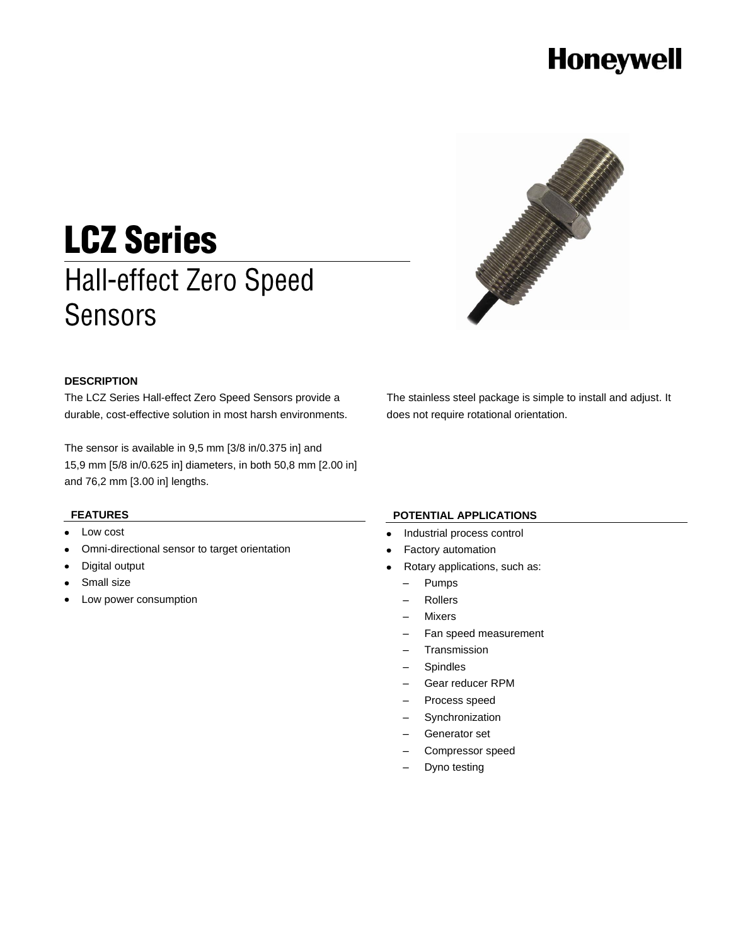# **Honeywell**



# **LCZ Series Hall-effect Zero Speed Sensors**

#### **DESCRIPTION**

The LCZ Series Hall-effect Zero Speed Sensors provide a durable, cost-effective solution in most harsh environments.

The sensor is available in 9,5 mm [3/8 in/0.375 in] and 15,9 mm [5/8 in/0.625 in] diameters, in both 50,8 mm [2.00 in] and 76,2 mm [3.00 in] lengths.

### **FEATURES**

- Low cost
- Omni-directional sensor to target orientation
- Digital output
- Small size
- Low power consumption

The stainless steel package is simple to install and adjust. It does not require rotational orientation.

#### **POTENTIAL APPLICATIONS**

- Industrial process control
- Factory automation
- Rotary applications, such as:
- Pumps
- Rollers
- Mixers
- Fan speed measurement
- Transmission
- Spindles
- Gear reducer RPM
- Process speed
- Synchronization
- Generator set
- Compressor speed
- Dyno testing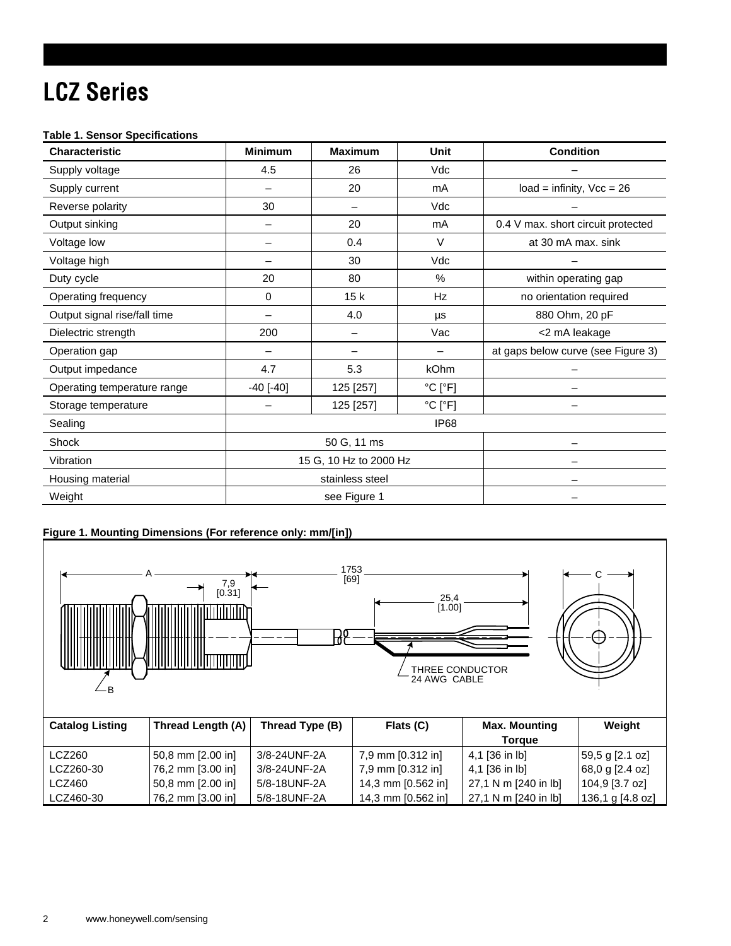# **LCZ Series**

### **Table 1. Sensor Specifications**

| <b>Characteristic</b>        | <b>Minimum</b>         | <b>Maximum</b> | Unit                         | <b>Condition</b>                   |
|------------------------------|------------------------|----------------|------------------------------|------------------------------------|
| Supply voltage               | 4.5                    | 26             | Vdc                          |                                    |
| Supply current               |                        | 20             | mA                           | $load = infinity, Vcc = 26$        |
| Reverse polarity             | 30                     |                | Vdc                          |                                    |
| Output sinking               |                        | 20             | mA                           | 0.4 V max. short circuit protected |
| Voltage low                  |                        | 0.4            | $\vee$                       | at 30 mA max. sink                 |
| Voltage high                 |                        | 30             | Vdc                          |                                    |
| Duty cycle                   | 20                     | 80             | $\frac{0}{0}$                | within operating gap               |
| Operating frequency          | 0                      | 15k            | Hz                           | no orientation required            |
| Output signal rise/fall time |                        | 4.0            | μs                           | 880 Ohm, 20 pF                     |
| Dielectric strength          | 200                    |                | Vac                          | <2 mA leakage                      |
| Operation gap                |                        |                |                              | at gaps below curve (see Figure 3) |
| Output impedance             | 4.7                    | 5.3            | kOhm                         |                                    |
| Operating temperature range  | $-40$ [ $-40$ ]        | 125 [257]      | $^{\circ}$ C [ $^{\circ}$ F] |                                    |
| Storage temperature          |                        | 125 [257]      | $^{\circ}$ C [ $^{\circ}$ F] |                                    |
| Sealing                      | IP <sub>68</sub>       |                |                              |                                    |
| Shock                        | 50 G, 11 ms            |                |                              |                                    |
| Vibration                    | 15 G, 10 Hz to 2000 Hz |                |                              |                                    |
| Housing material             | stainless steel        |                |                              |                                    |
| Weight                       | see Figure 1           |                |                              |                                    |

### **Figure 1. Mounting Dimensions (For reference only: mm/[in])**

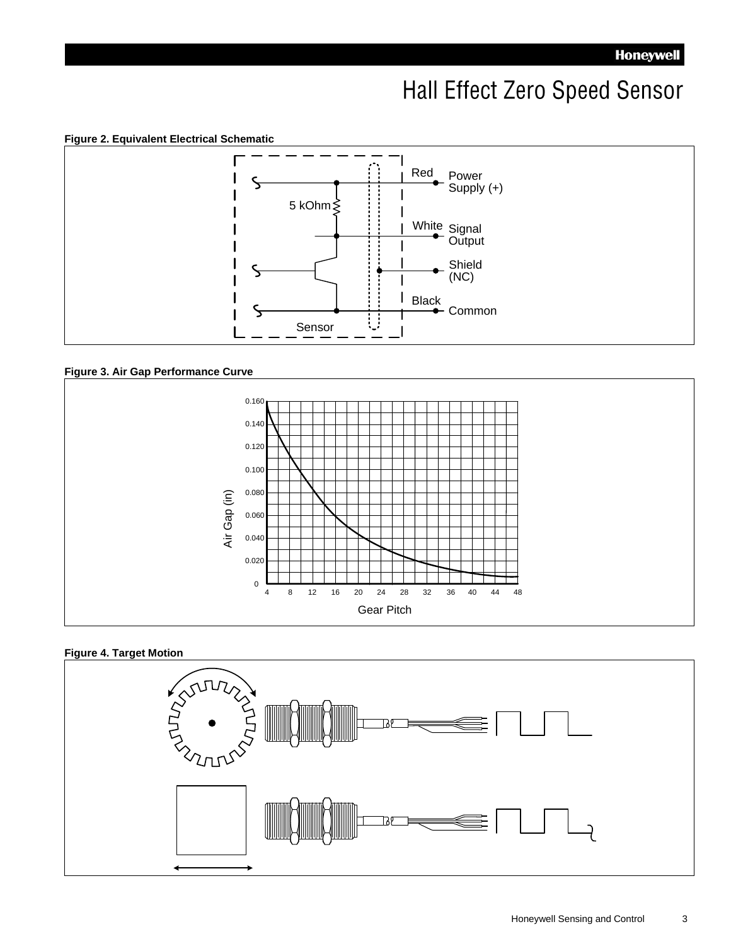## Hall Effect Zero Speed Sensor

**Figure 2. Equivalent Electrical Schematic**